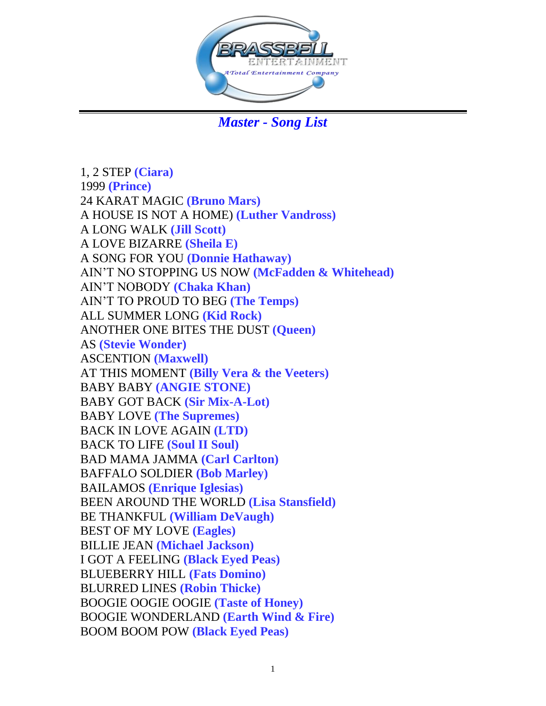

*Master - Song List*

1, 2 STEP **(Ciara)** 1999 **(Prince)** 24 KARAT MAGIC **(Bruno Mars)** A HOUSE IS NOT A HOME) **(Luther Vandross)**  A LONG WALK **(Jill Scott)** A LOVE BIZARRE **(Sheila E)** A SONG FOR YOU **(Donnie Hathaway)** AIN'T NO STOPPING US NOW **(McFadden & Whitehead)** AIN'T NOBODY **(Chaka Khan)** AIN'T TO PROUD TO BEG **(The Temps)** ALL SUMMER LONG **(Kid Rock)** ANOTHER ONE BITES THE DUST **(Queen)** AS **(Stevie Wonder)** ASCENTION **(Maxwell)** AT THIS MOMENT **(Billy Vera & the Veeters)**  BABY BABY **(ANGIE STONE)** BABY GOT BACK **(Sir Mix-A-Lot)** BABY LOVE **(The Supremes)** BACK IN LOVE AGAIN **(LTD)** BACK TO LIFE **(Soul II Soul)** BAD MAMA JAMMA **(Carl Carlton)** BAFFALO SOLDIER **(Bob Marley)** BAILAMOS **(Enrique Iglesias)**  BEEN AROUND THE WORLD **(Lisa Stansfield)** BE THANKFUL **(William DeVaugh)** BEST OF MY LOVE **(Eagles)**  BILLIE JEAN **(Michael Jackson)** I GOT A FEELING **(Black Eyed Peas)** BLUEBERRY HILL **(Fats Domino)**  BLURRED LINES **(Robin Thicke)** BOOGIE OOGIE OOGIE **(Taste of Honey)** BOOGIE WONDERLAND **(Earth Wind & Fire)** BOOM BOOM POW **(Black Eyed Peas)**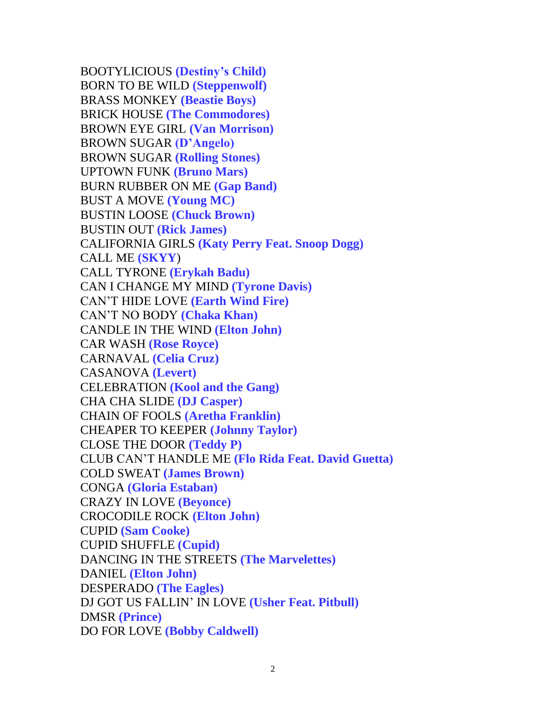BOOTYLICIOUS **(Destiny's Child)** BORN TO BE WILD **(Steppenwolf)**  BRASS MONKEY **(Beastie Boys)** BRICK HOUSE **(The Commodores)** BROWN EYE GIRL **(Van Morrison)** BROWN SUGAR **(D'Angelo)** BROWN SUGAR **(Rolling Stones)** UPTOWN FUNK **(Bruno Mars)** BURN RUBBER ON ME **(Gap Band)** BUST A MOVE **(Young MC)** BUSTIN LOOSE **(Chuck Brown)** BUSTIN OUT **(Rick James)** CALIFORNIA GIRLS **(Katy Perry Feat. Snoop Dogg)** CALL ME **(SKYY**) CALL TYRONE **(Erykah Badu)** CAN I CHANGE MY MIND **(Tyrone Davis)** CAN'T HIDE LOVE **(Earth Wind Fire)** CAN'T NO BODY **(Chaka Khan)** CANDLE IN THE WIND **(Elton John)** CAR WASH **(Rose Royce)** CARNAVAL **(Celia Cruz)** CASANOVA **(Levert)** CELEBRATION **(Kool and the Gang)** CHA CHA SLIDE **(DJ Casper)** CHAIN OF FOOLS **(Aretha Franklin)** CHEAPER TO KEEPER **(Johnny Taylor)** CLOSE THE DOOR **(Teddy P)** CLUB CAN'T HANDLE ME **(Flo Rida Feat. David Guetta)** COLD SWEAT **(James Brown)** CONGA **(Gloria Estaban)** CRAZY IN LOVE **(Beyonce)** CROCODILE ROCK **(Elton John)** CUPID **(Sam Cooke)** CUPID SHUFFLE **(Cupid)** DANCING IN THE STREETS **(The Marvelettes)** DANIEL **(Elton John)** DESPERADO **(The Eagles)** DJ GOT US FALLIN' IN LOVE **(Usher Feat. Pitbull)** DMSR **(Prince)** DO FOR LOVE **(Bobby Caldwell)**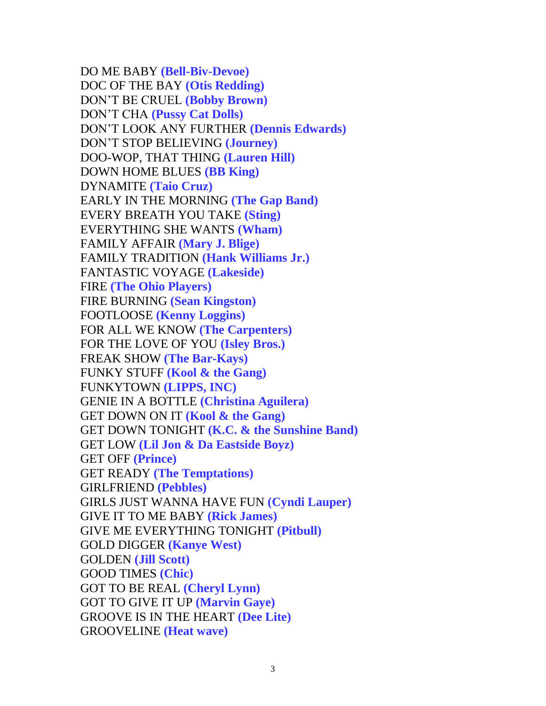DO ME BABY **(Bell-Biv-Devoe)** DOC OF THE BAY **(Otis Redding)** DON'T BE CRUEL **(Bobby Brown)** DON'T CHA **(Pussy Cat Dolls)** DON'T LOOK ANY FURTHER **(Dennis Edwards)** DON'T STOP BELIEVING **(Journey)** DOO-WOP, THAT THING **(Lauren Hill)** DOWN HOME BLUES **(BB King)** DYNAMITE **(Taio Cruz)** EARLY IN THE MORNING **(The Gap Band)** EVERY BREATH YOU TAKE **(Sting)** EVERYTHING SHE WANTS **(Wham)** FAMILY AFFAIR **(Mary J. Blige)** FAMILY TRADITION **(Hank Williams Jr.)** FANTASTIC VOYAGE **(Lakeside)** FIRE **(The Ohio Players)** FIRE BURNING **(Sean Kingston)** FOOTLOOSE **(Kenny Loggins)** FOR ALL WE KNOW **(The Carpenters)** FOR THE LOVE OF YOU **(Isley Bros.)** FREAK SHOW **(The Bar-Kays)** FUNKY STUFF **(Kool & the Gang)** FUNKYTOWN **(LIPPS, INC)** GENIE IN A BOTTLE **(Christina Aguilera)** GET DOWN ON IT **(Kool & the Gang)** GET DOWN TONIGHT **(K.C. & the Sunshine Band)** GET LOW **(Lil Jon & Da Eastside Boyz)** GET OFF **(Prince)** GET READY **(The Temptations)** GIRLFRIEND **(Pebbles)** GIRLS JUST WANNA HAVE FUN **(Cyndi Lauper)** GIVE IT TO ME BABY **(Rick James)** GIVE ME EVERYTHING TONIGHT **(Pitbull)** GOLD DIGGER **(Kanye West)** GOLDEN **(Jill Scott)** GOOD TIMES **(Chic)** GOT TO BE REAL **(Cheryl Lynn)** GOT TO GIVE IT UP **(Marvin Gaye)** GROOVE IS IN THE HEART **(Dee Lite)** GROOVELINE **(Heat wave)**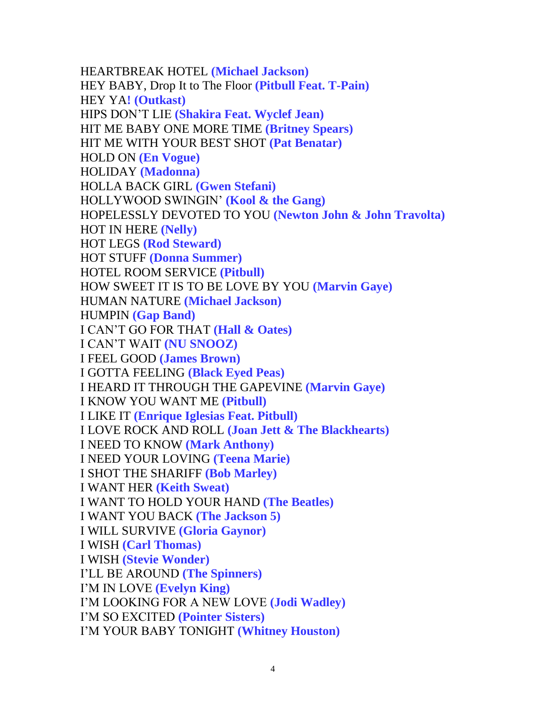HEARTBREAK HOTEL **(Michael Jackson)** HEY BABY, Drop It to The Floor **(Pitbull Feat. T-Pain)** HEY YA**! (Outkast)** HIPS DON'T LIE **(Shakira Feat. Wyclef Jean)** HIT ME BABY ONE MORE TIME **(Britney Spears)** HIT ME WITH YOUR BEST SHOT **(Pat Benatar)** HOLD ON **(En Vogue)** HOLIDAY **(Madonna)**  HOLLA BACK GIRL **(Gwen Stefani)** HOLLYWOOD SWINGIN' **(Kool & the Gang)** HOPELESSLY DEVOTED TO YOU **(Newton John & John Travolta)**  HOT IN HERE **(Nelly)** HOT LEGS **(Rod Steward)** HOT STUFF **(Donna Summer)** HOTEL ROOM SERVICE **(Pitbull)** HOW SWEET IT IS TO BE LOVE BY YOU **(Marvin Gaye)** HUMAN NATURE **(Michael Jackson)** HUMPIN **(Gap Band)** I CAN'T GO FOR THAT **(Hall & Oates)**  I CAN'T WAIT **(NU SNOOZ)** I FEEL GOOD **(James Brown)** I GOTTA FEELING **(Black Eyed Peas)** I HEARD IT THROUGH THE GAPEVINE **(Marvin Gaye)** I KNOW YOU WANT ME **(Pitbull)** I LIKE IT **(Enrique Iglesias Feat. Pitbull)** I LOVE ROCK AND ROLL **(Joan Jett & The Blackhearts)** I NEED TO KNOW **(Mark Anthony)** I NEED YOUR LOVING **(Teena Marie)** I SHOT THE SHARIFF **(Bob Marley)** I WANT HER **(Keith Sweat)** I WANT TO HOLD YOUR HAND **(The Beatles)** I WANT YOU BACK **(The Jackson 5)** I WILL SURVIVE **(Gloria Gaynor)** I WISH **(Carl Thomas)** I WISH **(Stevie Wonder)** I'LL BE AROUND **(The Spinners)** I'M IN LOVE **(Evelyn King)** I'M LOOKING FOR A NEW LOVE **(Jodi Wadley)**  I'M SO EXCITED **(Pointer Sisters)** I'M YOUR BABY TONIGHT **(Whitney Houston)**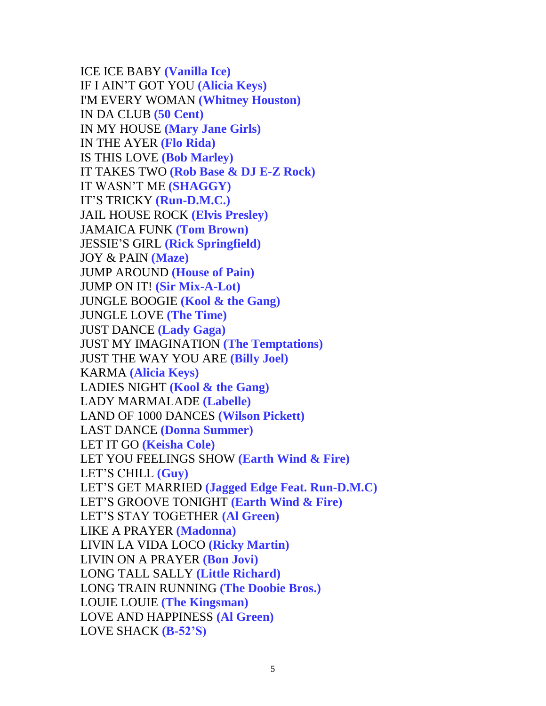ICE ICE BABY **(Vanilla Ice)** IF I AIN'T GOT YOU **(Alicia Keys)** I'M EVERY WOMAN **(Whitney Houston)** IN DA CLUB **(50 Cent)** IN MY HOUSE **(Mary Jane Girls)** IN THE AYER **(Flo Rida)** IS THIS LOVE **(Bob Marley)** IT TAKES TWO **(Rob Base & DJ E-Z Rock)** IT WASN'T ME **(SHAGGY)** IT'S TRICKY **(Run-D.M.C.)** JAIL HOUSE ROCK **(Elvis Presley)** JAMAICA FUNK **(Tom Brown)** JESSIE'S GIRL **(Rick Springfield)** JOY & PAIN **(Maze)** JUMP AROUND **(House of Pain)** JUMP ON IT! **(Sir Mix-A-Lot)** JUNGLE BOOGIE **(Kool & the Gang)** JUNGLE LOVE **(The Time)** JUST DANCE **(Lady Gaga)** JUST MY IMAGINATION **(The Temptations)** JUST THE WAY YOU ARE **(Billy Joel)** KARMA **(Alicia Keys)** LADIES NIGHT **(Kool & the Gang)** LADY MARMALADE **(Labelle)** LAND OF 1000 DANCES **(Wilson Pickett)** LAST DANCE **(Donna Summer)** LET IT GO **(Keisha Cole)** LET YOU FEELINGS SHOW **(Earth Wind & Fire)** LET'S CHILL **(Guy)** LET'S GET MARRIED **(Jagged Edge Feat. Run-D.M.C)** LET'S GROOVE TONIGHT **(Earth Wind & Fire)** LET'S STAY TOGETHER **(Al Green)** LIKE A PRAYER **(Madonna)** LIVIN LA VIDA LOCO **(Ricky Martin)** LIVIN ON A PRAYER **(Bon Jovi)** LONG TALL SALLY **(Little Richard)** LONG TRAIN RUNNING **(The Doobie Bros.)** LOUIE LOUIE **(The Kingsman)** LOVE AND HAPPINESS **(Al Green)** LOVE SHACK **(B-52'S)**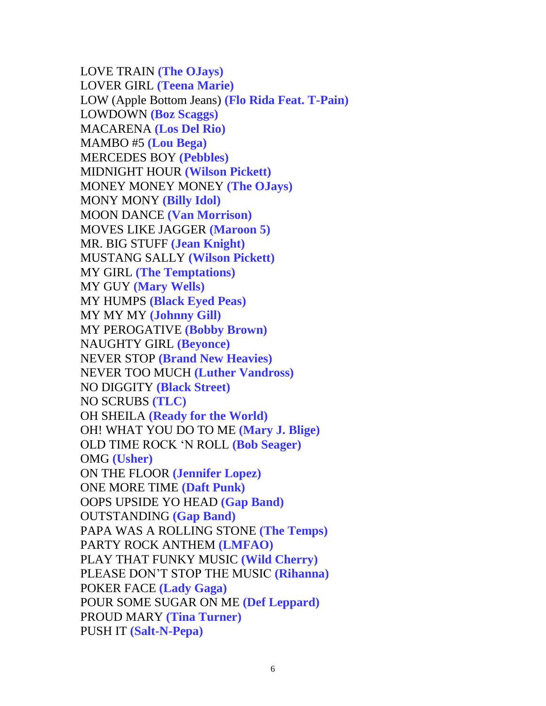LOVE TRAIN **(The OJays)** LOVER GIRL **(Teena Marie)** LOW (Apple Bottom Jeans) **(Flo Rida Feat. T-Pain)** LOWDOWN **(Boz Scaggs)** MACARENA **(Los Del Rio)** MAMBO #5 **(Lou Bega)** MERCEDES BOY **(Pebbles)** MIDNIGHT HOUR **(Wilson Pickett)** MONEY MONEY MONEY **(The OJays)** MONY MONY **(Billy Idol)** MOON DANCE **(Van Morrison)** MOVES LIKE JAGGER **(Maroon 5)** MR. BIG STUFF **(Jean Knight)** MUSTANG SALLY **(Wilson Pickett)** MY GIRL **(The Temptations)** MY GUY **(Mary Wells)** MY HUMPS **(Black Eyed Peas)** MY MY MY **(Johnny Gill)**  MY PEROGATIVE **(Bobby Brown)**  NAUGHTY GIRL **(Beyonce)** NEVER STOP **(Brand New Heavies)** NEVER TOO MUCH **(Luther Vandross)** NO DIGGITY **(Black Street)** NO SCRUBS **(TLC)** OH SHEILA **(Ready for the World)** OH! WHAT YOU DO TO ME **(Mary J. Blige)** OLD TIME ROCK 'N ROLL **(Bob Seager)** OMG **(Usher)** ON THE FLOOR **(Jennifer Lopez)** ONE MORE TIME **(Daft Punk)** OOPS UPSIDE YO HEAD **(Gap Band)** OUTSTANDING **(Gap Band)** PAPA WAS A ROLLING STONE **(The Temps)** PARTY ROCK ANTHEM **(LMFAO)** PLAY THAT FUNKY MUSIC **(Wild Cherry)** PLEASE DON'T STOP THE MUSIC **(Rihanna)** POKER FACE **(Lady Gaga)** POUR SOME SUGAR ON ME **(Def Leppard)** PROUD MARY **(Tina Turner)** PUSH IT **(Salt-N-Pepa)**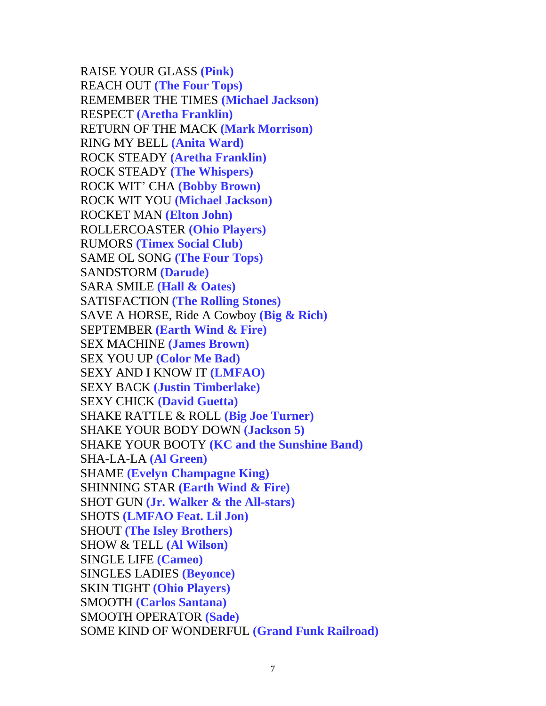RAISE YOUR GLASS **(Pink)** REACH OUT **(The Four Tops)** REMEMBER THE TIMES **(Michael Jackson)** RESPECT **(Aretha Franklin)** RETURN OF THE MACK **(Mark Morrison)** RING MY BELL **(Anita Ward)** ROCK STEADY **(Aretha Franklin)** ROCK STEADY **(The Whispers)** ROCK WIT' CHA **(Bobby Brown)** ROCK WIT YOU **(Michael Jackson)** ROCKET MAN **(Elton John)** ROLLERCOASTER **(Ohio Players)** RUMORS **(Timex Social Club)** SAME OL SONG **(The Four Tops)** SANDSTORM **(Darude)** SARA SMILE **(Hall & Oates)** SATISFACTION **(The Rolling Stones)** SAVE A HORSE, Ride A Cowboy **(Big & Rich)** SEPTEMBER **(Earth Wind & Fire)** SEX MACHINE **(James Brown)** SEX YOU UP **(Color Me Bad)** SEXY AND I KNOW IT **(LMFAO)** SEXY BACK **(Justin Timberlake)** SEXY CHICK **(David Guetta)** SHAKE RATTLE & ROLL **(Big Joe Turner)** SHAKE YOUR BODY DOWN **(Jackson 5)** SHAKE YOUR BOOTY **(KC and the Sunshine Band)** SHA-LA-LA **(Al Green)** SHAME **(Evelyn Champagne King)** SHINNING STAR **(Earth Wind & Fire)** SHOT GUN **(Jr. Walker & the All-stars)** SHOTS **(LMFAO Feat. Lil Jon)** SHOUT **(The Isley Brothers)** SHOW & TELL **(Al Wilson)** SINGLE LIFE **(Cameo)** SINGLES LADIES **(Beyonce)** SKIN TIGHT **(Ohio Players)** SMOOTH **(Carlos Santana)**  SMOOTH OPERATOR **(Sade)** SOME KIND OF WONDERFUL **(Grand Funk Railroad)**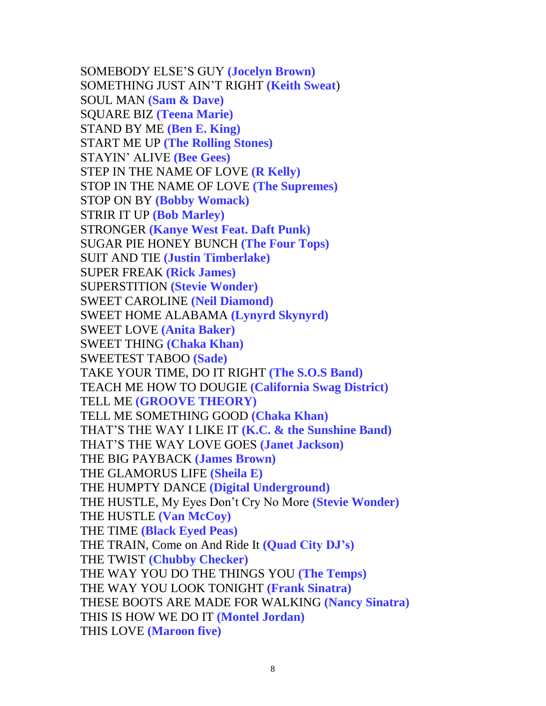SOMEBODY ELSE'S GUY **(Jocelyn Brown)** SOMETHING JUST AIN'T RIGHT **(Keith Sweat**) SOUL MAN **(Sam & Dave)** SQUARE BIZ **(Teena Marie)** STAND BY ME **(Ben E. King)** START ME UP **(The Rolling Stones)**  STAYIN' ALIVE **(Bee Gees)**  STEP IN THE NAME OF LOVE **(R Kelly)**  STOP IN THE NAME OF LOVE **(The Supremes)** STOP ON BY **(Bobby Womack)** STRIR IT UP **(Bob Marley)**  STRONGER **(Kanye West Feat. Daft Punk)** SUGAR PIE HONEY BUNCH **(The Four Tops)** SUIT AND TIE **(Justin Timberlake)**  SUPER FREAK **(Rick James)** SUPERSTITION **(Stevie Wonder)** SWEET CAROLINE **(Neil Diamond)** SWEET HOME ALABAMA **(Lynyrd Skynyrd)** SWEET LOVE **(Anita Baker)** SWEET THING **(Chaka Khan)** SWEETEST TABOO **(Sade)** TAKE YOUR TIME, DO IT RIGHT **(The S.O.S Band)** TEACH ME HOW TO DOUGIE **(California Swag District)** TELL ME **(GROOVE THEORY)** TELL ME SOMETHING GOOD **(Chaka Khan)**  THAT'S THE WAY I LIKE IT **(K.C. & the Sunshine Band)**  THAT'S THE WAY LOVE GOES **(Janet Jackson)**  THE BIG PAYBACK **(James Brown)** [THE GLAMORUS LIFE](http://soulbounce.com/soul/2008/04/86_sheila_e_glamorous_life.php) **(Sheila E)** THE HUMPTY DANCE **(Digital Underground)** THE HUSTLE, My Eyes Don't Cry No More **(Stevie Wonder)** THE HUSTLE **(Van McCoy)**  THE TIME **(Black Eyed Peas)** THE TRAIN, Come on And Ride It **(Quad City DJ's)** THE TWIST **(Chubby Checker)**  THE WAY YOU DO THE THINGS YOU **(The Temps)**  THE WAY YOU LOOK TONIGHT **(Frank Sinatra)**  THESE BOOTS ARE MADE FOR WALKING **(Nancy Sinatra)** THIS IS HOW WE DO IT **(Montel Jordan)** THIS LOVE **(Maroon five)**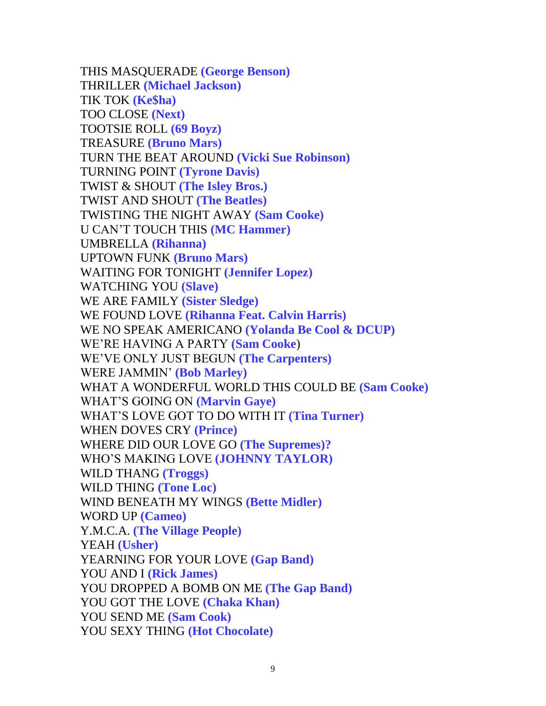THIS MASQUERADE **(George Benson)**  THRILLER **(Michael Jackson)** TIK TOK **(Ke\$ha)** TOO CLOSE **(Next)** TOOTSIE ROLL **(69 Boyz)** TREASURE **(Bruno Mars)** TURN THE BEAT AROUND **(Vicki Sue Robinson)** TURNING POINT **(Tyrone Davis)** TWIST & SHOUT **(The Isley Bros.)** TWIST AND SHOUT **(The Beatles)** TWISTING THE NIGHT AWAY **(Sam Cooke)** U CAN'T TOUCH THIS **(MC Hammer)** UMBRELLA **(Rihanna)** UPTOWN FUNK **(Bruno Mars)** WAITING FOR TONIGHT **(Jennifer Lopez)** WATCHING YOU **(Slave)** WE ARE FAMILY **(Sister Sledge)** WE FOUND LOVE **(Rihanna Feat. Calvin Harris)** WE NO SPEAK AMERICANO **(Yolanda Be Cool & DCUP)** WE'RE HAVING A PARTY **(Sam Cooke**) WE'VE ONLY JUST BEGUN **(The Carpenters)** WERE JAMMIN' **(Bob Marley)** WHAT A WONDERFUL WORLD THIS COULD BE **(Sam Cooke)** WHAT'S GOING ON **(Marvin Gaye)** WHAT'S LOVE GOT TO DO WITH IT **(Tina Turner)** WHEN DOVES CRY **(Prince)**  WHERE DID OUR LOVE GO **(The Supremes)?** WHO'S MAKING LOVE **(JOHNNY TAYLOR)** WILD THANG **(Troggs)** WILD THING **(Tone Loc)** WIND BENEATH MY WINGS **(Bette Midler)** WORD UP **(Cameo)** Y.M.C.A. **(The Village People)** YEAH **(Usher)** YEARNING FOR YOUR LOVE **(Gap Band)** YOU AND I **(Rick James)** YOU DROPPED A BOMB ON ME **(The Gap Band)** YOU GOT THE LOVE **(Chaka Khan)**  YOU SEND ME **(Sam Cook)** YOU SEXY THING **(Hot Chocolate)**